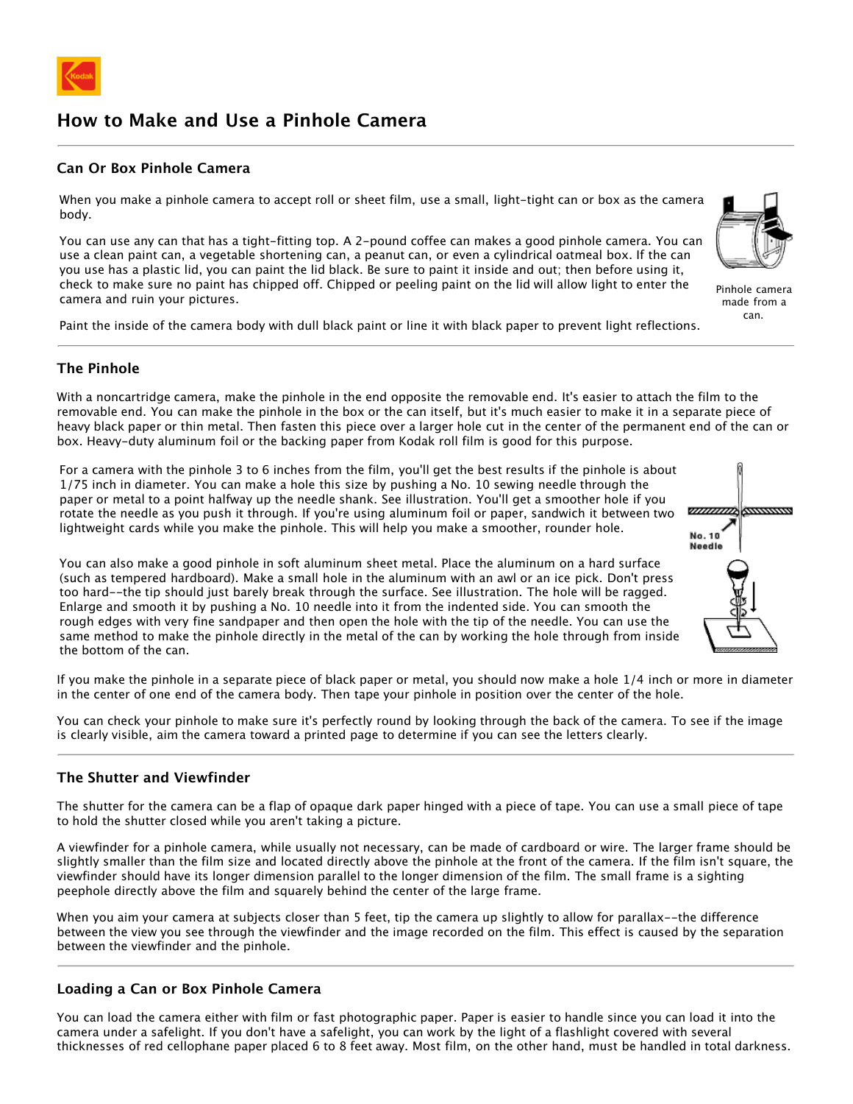

# **How to Make and Use a Pinhole Camera**

## **Can Or Box Pinhole Camera**

When you make a pinhole camera to accept roll or sheet film, use a small, light-tight can or box as the camera body.

You can use any can that has a tight-fitting top. A 2-pound coffee can makes a good pinhole camera. You can use a clean paint can, a vegetable shortening can, a peanut can, or even a cylindrical oatmeal box. If the can you use has a plastic lid, you can paint the lid black. Be sure to paint it inside and out; then before using it, check to make sure no paint has chipped off. Chipped or peeling paint on the lid will allow light to enter the camera and ruin your pictures.

Paint the inside of the camera body with dull black paint or line it with black paper to prevent light reflections.

#### **The Pinhole**

With a noncartridge camera, make the pinhole in the end opposite the removable end. It's easier to attach the film to the removable end. You can make the pinhole in the box or the can itself, but it's much easier to make it in a separate piece of heavy black paper or thin metal. Then fasten this piece over a larger hole cut in the center of the permanent end of the can or box. Heavy-duty aluminum foil or the backing paper from Kodak roll film is good for this purpose.

For a camera with the pinhole 3 to 6 inches from the film, you'll get the best results if the pinhole is about 1/75 inch in diameter. You can make a hole this size by pushing a No. 10 sewing needle through the paper or metal to a point halfway up the needle shank. See illustration. You'll get a smoother hole if you rotate the needle as you push it through. If you're using aluminum foil or paper, sandwich it between two lightweight cards while you make the pinhole. This will help you make a smoother, rounder hole.

You can also make a good pinhole in soft aluminum sheet metal. Place the aluminum on a hard surface (such as tempered hardboard). Make a small hole in the aluminum with an awl or an ice pick. Don't press too hard--the tip should just barely break through the surface. See illustration. The hole will be ragged. Enlarge and smooth it by pushing a No. 10 needle into it from the indented side. You can smooth the rough edges with very fine sandpaper and then open the hole with the tip of the needle. You can use the same method to make the pinhole directly in the metal of the can by working the hole through from inside the bottom of the can.

If you make the pinhole in a separate piece of black paper or metal, you should now make a hole 1/4 inch or more in diameter in the center of one end of the camera body. Then tape your pinhole in position over the center of the hole.

You can check your pinhole to make sure it's perfectly round by looking through the back of the camera. To see if the image is clearly visible, aim the camera toward a printed page to determine if you can see the letters clearly.

#### **The Shutter and Viewfinder**

The shutter for the camera can be a flap of opaque dark paper hinged with a piece of tape. You can use a small piece of tape to hold the shutter closed while you aren't taking a picture.

A viewfinder for a pinhole camera, while usually not necessary, can be made of cardboard or wire. The larger frame should be slightly smaller than the film size and located directly above the pinhole at the front of the camera. If the film isn't square, the viewfinder should have its longer dimension parallel to the longer dimension of the film. The small frame is a sighting peephole directly above the film and squarely behind the center of the large frame.

When you aim your camera at subjects closer than 5 feet, tip the camera up slightly to allow for parallax--the difference between the view you see through the viewfinder and the image recorded on the film. This effect is caused by the separation between the viewfinder and the pinhole.

## **Loading a Can or Box Pinhole Camera**

You can load the camera either with film or fast photographic paper. Paper is easier to handle since you can load it into the camera under a safelight. If you don't have a safelight, you can work by the light of a flashlight covered with several thicknesses of red cellophane paper placed 6 to 8 feet away. Most film, on the other hand, must be handled in total darkness.